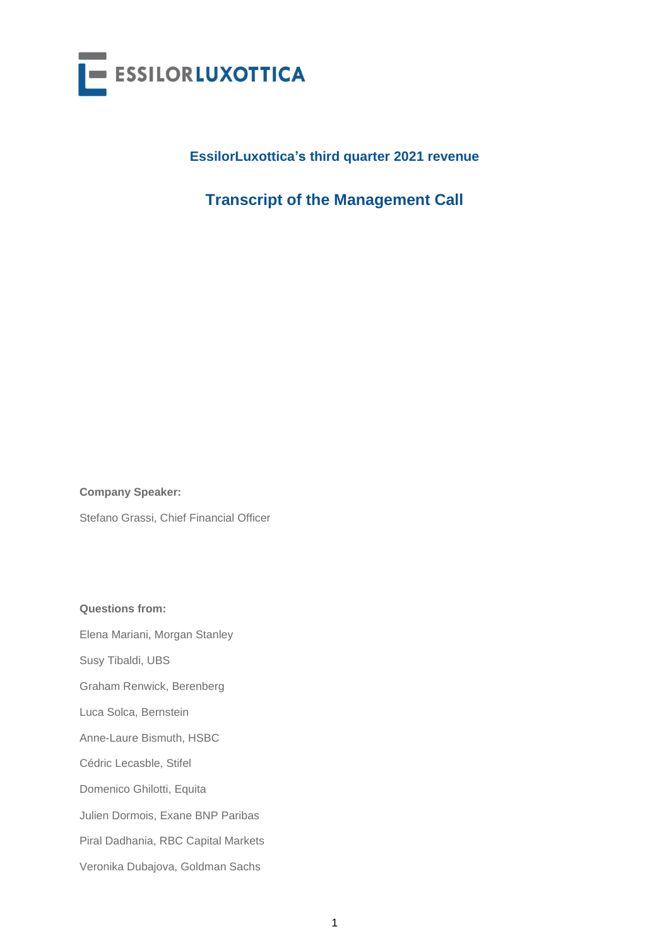

## **EssilorLuxottica's third quarter 2021 revenue**

# **Transcript of the Management Call**

**Company Speaker:**

Stefano Grassi, Chief Financial Officer

**Questions from:**

Elena Mariani, Morgan Stanley

Susy Tibaldi, UBS

Graham Renwick, Berenberg

Luca Solca, Bernstein

Anne-Laure Bismuth, HSBC

Cédric Lecasble, Stifel

Domenico Ghilotti, Equita

Julien Dormois, Exane BNP Paribas

Piral Dadhania, RBC Capital Markets

Veronika Dubajova, Goldman Sachs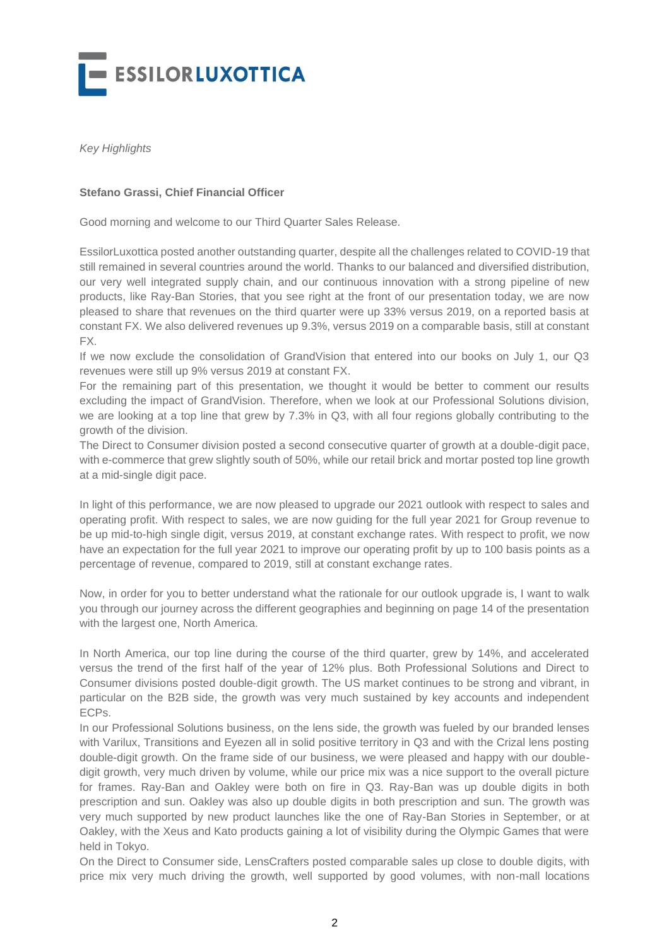

*Key Highlights*

## **Stefano Grassi, Chief Financial Officer**

Good morning and welcome to our Third Quarter Sales Release.

EssilorLuxottica posted another outstanding quarter, despite all the challenges related to COVID-19 that still remained in several countries around the world. Thanks to our balanced and diversified distribution, our very well integrated supply chain, and our continuous innovation with a strong pipeline of new products, like Ray-Ban Stories, that you see right at the front of our presentation today, we are now pleased to share that revenues on the third quarter were up 33% versus 2019, on a reported basis at constant FX. We also delivered revenues up 9.3%, versus 2019 on a comparable basis, still at constant FX.

If we now exclude the consolidation of GrandVision that entered into our books on July 1, our Q3 revenues were still up 9% versus 2019 at constant FX.

For the remaining part of this presentation, we thought it would be better to comment our results excluding the impact of GrandVision. Therefore, when we look at our Professional Solutions division, we are looking at a top line that grew by 7.3% in Q3, with all four regions globally contributing to the growth of the division.

The Direct to Consumer division posted a second consecutive quarter of growth at a double-digit pace, with e-commerce that grew slightly south of 50%, while our retail brick and mortar posted top line growth at a mid-single digit pace.

In light of this performance, we are now pleased to upgrade our 2021 outlook with respect to sales and operating profit. With respect to sales, we are now guiding for the full year 2021 for Group revenue to be up mid-to-high single digit, versus 2019, at constant exchange rates. With respect to profit, we now have an expectation for the full year 2021 to improve our operating profit by up to 100 basis points as a percentage of revenue, compared to 2019, still at constant exchange rates.

Now, in order for you to better understand what the rationale for our outlook upgrade is, I want to walk you through our journey across the different geographies and beginning on page 14 of the presentation with the largest one, North America.

In North America, our top line during the course of the third quarter, grew by 14%, and accelerated versus the trend of the first half of the year of 12% plus. Both Professional Solutions and Direct to Consumer divisions posted double-digit growth. The US market continues to be strong and vibrant, in particular on the B2B side, the growth was very much sustained by key accounts and independent ECPs.

In our Professional Solutions business, on the lens side, the growth was fueled by our branded lenses with Varilux, Transitions and Eyezen all in solid positive territory in Q3 and with the Crizal lens posting double-digit growth. On the frame side of our business, we were pleased and happy with our doubledigit growth, very much driven by volume, while our price mix was a nice support to the overall picture for frames. Ray-Ban and Oakley were both on fire in Q3. Ray-Ban was up double digits in both prescription and sun. Oakley was also up double digits in both prescription and sun. The growth was very much supported by new product launches like the one of Ray-Ban Stories in September, or at Oakley, with the Xeus and Kato products gaining a lot of visibility during the Olympic Games that were held in Tokyo.

On the Direct to Consumer side, LensCrafters posted comparable sales up close to double digits, with price mix very much driving the growth, well supported by good volumes, with non-mall locations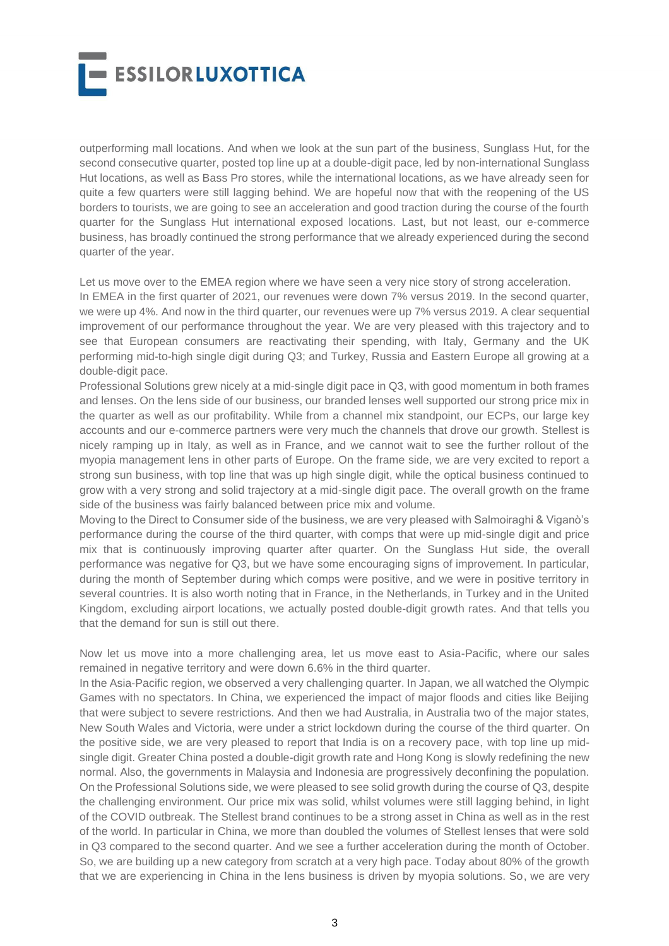

outperforming mall locations. And when we look at the sun part of the business, Sunglass Hut, for the second consecutive quarter, posted top line up at a double-digit pace, led by non-international Sunglass Hut locations, as well as Bass Pro stores, while the international locations, as we have already seen for quite a few quarters were still lagging behind. We are hopeful now that with the reopening of the US borders to tourists, we are going to see an acceleration and good traction during the course of the fourth quarter for the Sunglass Hut international exposed locations. Last, but not least, our e-commerce business, has broadly continued the strong performance that we already experienced during the second quarter of the year.

Let us move over to the EMEA region where we have seen a very nice story of strong acceleration.

In EMEA in the first quarter of 2021, our revenues were down 7% versus 2019. In the second quarter, we were up 4%. And now in the third quarter, our revenues were up 7% versus 2019. A clear sequential improvement of our performance throughout the year. We are very pleased with this trajectory and to see that European consumers are reactivating their spending, with Italy, Germany and the UK performing mid-to-high single digit during Q3; and Turkey, Russia and Eastern Europe all growing at a double-digit pace.

Professional Solutions grew nicely at a mid-single digit pace in Q3, with good momentum in both frames and lenses. On the lens side of our business, our branded lenses well supported our strong price mix in the quarter as well as our profitability. While from a channel mix standpoint, our ECPs, our large key accounts and our e-commerce partners were very much the channels that drove our growth. Stellest is nicely ramping up in Italy, as well as in France, and we cannot wait to see the further rollout of the myopia management lens in other parts of Europe. On the frame side, we are very excited to report a strong sun business, with top line that was up high single digit, while the optical business continued to grow with a very strong and solid trajectory at a mid-single digit pace. The overall growth on the frame side of the business was fairly balanced between price mix and volume.

Moving to the Direct to Consumer side of the business, we are very pleased with Salmoiraghi & Viganò's performance during the course of the third quarter, with comps that were up mid-single digit and price mix that is continuously improving quarter after quarter. On the Sunglass Hut side, the overall performance was negative for Q3, but we have some encouraging signs of improvement. In particular, during the month of September during which comps were positive, and we were in positive territory in several countries. It is also worth noting that in France, in the Netherlands, in Turkey and in the United Kingdom, excluding airport locations, we actually posted double-digit growth rates. And that tells you that the demand for sun is still out there.

Now let us move into a more challenging area, let us move east to Asia-Pacific, where our sales remained in negative territory and were down 6.6% in the third quarter.

In the Asia-Pacific region, we observed a very challenging quarter. In Japan, we all watched the Olympic Games with no spectators. In China, we experienced the impact of major floods and cities like Beijing that were subject to severe restrictions. And then we had Australia, in Australia two of the major states, New South Wales and Victoria, were under a strict lockdown during the course of the third quarter. On the positive side, we are very pleased to report that India is on a recovery pace, with top line up midsingle digit. Greater China posted a double-digit growth rate and Hong Kong is slowly redefining the new normal. Also, the governments in Malaysia and Indonesia are progressively deconfining the population. On the Professional Solutions side, we were pleased to see solid growth during the course of Q3, despite the challenging environment. Our price mix was solid, whilst volumes were still lagging behind, in light of the COVID outbreak. The Stellest brand continues to be a strong asset in China as well as in the rest of the world. In particular in China, we more than doubled the volumes of Stellest lenses that were sold in Q3 compared to the second quarter. And we see a further acceleration during the month of October. So, we are building up a new category from scratch at a very high pace. Today about 80% of the growth that we are experiencing in China in the lens business is driven by myopia solutions. So, we are very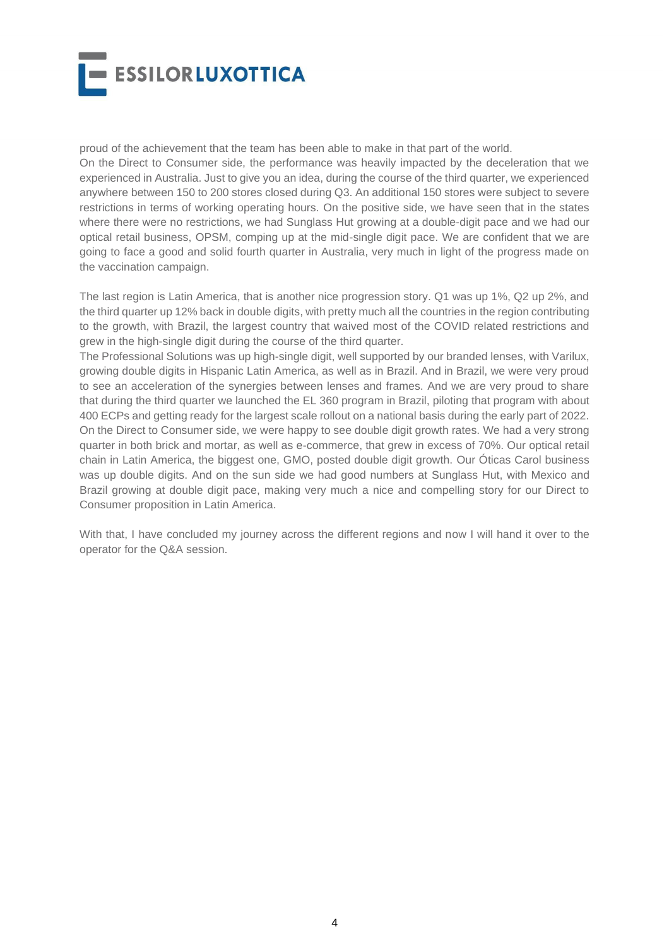

proud of the achievement that the team has been able to make in that part of the world.

On the Direct to Consumer side, the performance was heavily impacted by the deceleration that we experienced in Australia. Just to give you an idea, during the course of the third quarter, we experienced anywhere between 150 to 200 stores closed during Q3. An additional 150 stores were subject to severe restrictions in terms of working operating hours. On the positive side, we have seen that in the states where there were no restrictions, we had Sunglass Hut growing at a double-digit pace and we had our optical retail business, OPSM, comping up at the mid-single digit pace. We are confident that we are going to face a good and solid fourth quarter in Australia, very much in light of the progress made on the vaccination campaign.

The last region is Latin America, that is another nice progression story. Q1 was up 1%, Q2 up 2%, and the third quarter up 12% back in double digits, with pretty much all the countries in the region contributing to the growth, with Brazil, the largest country that waived most of the COVID related restrictions and grew in the high-single digit during the course of the third quarter.

The Professional Solutions was up high-single digit, well supported by our branded lenses, with Varilux, growing double digits in Hispanic Latin America, as well as in Brazil. And in Brazil, we were very proud to see an acceleration of the synergies between lenses and frames. And we are very proud to share that during the third quarter we launched the EL 360 program in Brazil, piloting that program with about 400 ECPs and getting ready for the largest scale rollout on a national basis during the early part of 2022. On the Direct to Consumer side, we were happy to see double digit growth rates. We had a very strong quarter in both brick and mortar, as well as e-commerce, that grew in excess of 70%. Our optical retail chain in Latin America, the biggest one, GMO, posted double digit growth. Our Óticas Carol business was up double digits. And on the sun side we had good numbers at Sunglass Hut, with Mexico and Brazil growing at double digit pace, making very much a nice and compelling story for our Direct to Consumer proposition in Latin America.

With that, I have concluded my journey across the different regions and now I will hand it over to the operator for the Q&A session.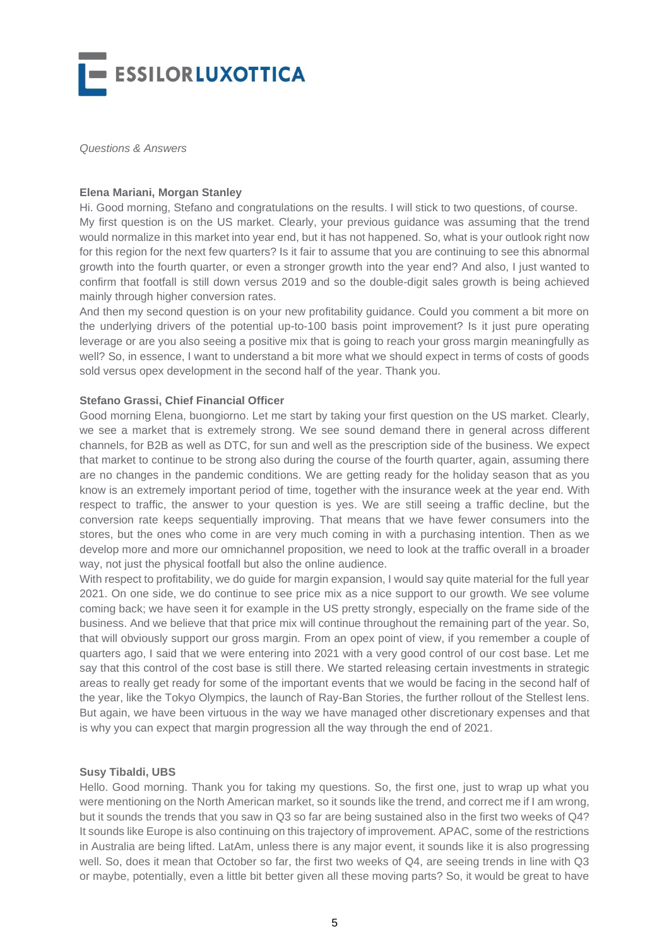

*Questions & Answers*

#### **Elena Mariani, Morgan Stanley**

Hi. Good morning, Stefano and congratulations on the results. I will stick to two questions, of course. My first question is on the US market. Clearly, your previous guidance was assuming that the trend would normalize in this market into year end, but it has not happened. So, what is your outlook right now for this region for the next few quarters? Is it fair to assume that you are continuing to see this abnormal growth into the fourth quarter, or even a stronger growth into the year end? And also, I just wanted to confirm that footfall is still down versus 2019 and so the double-digit sales growth is being achieved mainly through higher conversion rates.

And then my second question is on your new profitability guidance. Could you comment a bit more on the underlying drivers of the potential up-to-100 basis point improvement? Is it just pure operating leverage or are you also seeing a positive mix that is going to reach your gross margin meaningfully as well? So, in essence, I want to understand a bit more what we should expect in terms of costs of goods sold versus opex development in the second half of the year. Thank you.

#### **Stefano Grassi, Chief Financial Officer**

Good morning Elena, buongiorno. Let me start by taking your first question on the US market. Clearly, we see a market that is extremely strong. We see sound demand there in general across different channels, for B2B as well as DTC, for sun and well as the prescription side of the business. We expect that market to continue to be strong also during the course of the fourth quarter, again, assuming there are no changes in the pandemic conditions. We are getting ready for the holiday season that as you know is an extremely important period of time, together with the insurance week at the year end. With respect to traffic, the answer to your question is yes. We are still seeing a traffic decline, but the conversion rate keeps sequentially improving. That means that we have fewer consumers into the stores, but the ones who come in are very much coming in with a purchasing intention. Then as we develop more and more our omnichannel proposition, we need to look at the traffic overall in a broader way, not just the physical footfall but also the online audience.

With respect to profitability, we do guide for margin expansion, I would say quite material for the full year 2021. On one side, we do continue to see price mix as a nice support to our growth. We see volume coming back; we have seen it for example in the US pretty strongly, especially on the frame side of the business. And we believe that that price mix will continue throughout the remaining part of the year. So, that will obviously support our gross margin. From an opex point of view, if you remember a couple of quarters ago, I said that we were entering into 2021 with a very good control of our cost base. Let me say that this control of the cost base is still there. We started releasing certain investments in strategic areas to really get ready for some of the important events that we would be facing in the second half of the year, like the Tokyo Olympics, the launch of Ray-Ban Stories, the further rollout of the Stellest lens. But again, we have been virtuous in the way we have managed other discretionary expenses and that is why you can expect that margin progression all the way through the end of 2021.

#### **Susy Tibaldi, UBS**

Hello. Good morning. Thank you for taking my questions. So, the first one, just to wrap up what you were mentioning on the North American market, so it sounds like the trend, and correct me if I am wrong, but it sounds the trends that you saw in Q3 so far are being sustained also in the first two weeks of Q4? It sounds like Europe is also continuing on this trajectory of improvement. APAC, some of the restrictions in Australia are being lifted. LatAm, unless there is any major event, it sounds like it is also progressing well. So, does it mean that October so far, the first two weeks of Q4, are seeing trends in line with Q3 or maybe, potentially, even a little bit better given all these moving parts? So, it would be great to have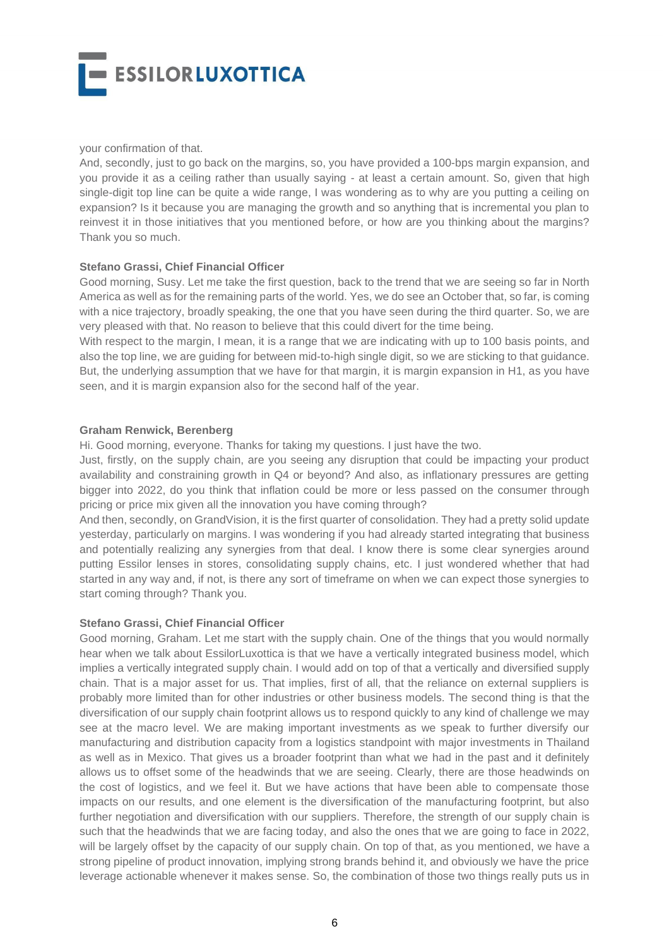

#### your confirmation of that.

And, secondly, just to go back on the margins, so, you have provided a 100-bps margin expansion, and you provide it as a ceiling rather than usually saying - at least a certain amount. So, given that high single-digit top line can be quite a wide range, I was wondering as to why are you putting a ceiling on expansion? Is it because you are managing the growth and so anything that is incremental you plan to reinvest it in those initiatives that you mentioned before, or how are you thinking about the margins? Thank you so much.

## **Stefano Grassi, Chief Financial Officer**

Good morning, Susy. Let me take the first question, back to the trend that we are seeing so far in North America as well as for the remaining parts of the world. Yes, we do see an October that, so far, is coming with a nice trajectory, broadly speaking, the one that you have seen during the third quarter. So, we are very pleased with that. No reason to believe that this could divert for the time being.

With respect to the margin, I mean, it is a range that we are indicating with up to 100 basis points, and also the top line, we are guiding for between mid-to-high single digit, so we are sticking to that guidance. But, the underlying assumption that we have for that margin, it is margin expansion in H1, as you have seen, and it is margin expansion also for the second half of the year.

#### **Graham Renwick, Berenberg**

Hi. Good morning, everyone. Thanks for taking my questions. I just have the two.

Just, firstly, on the supply chain, are you seeing any disruption that could be impacting your product availability and constraining growth in Q4 or beyond? And also, as inflationary pressures are getting bigger into 2022, do you think that inflation could be more or less passed on the consumer through pricing or price mix given all the innovation you have coming through?

And then, secondly, on GrandVision, it is the first quarter of consolidation. They had a pretty solid update yesterday, particularly on margins. I was wondering if you had already started integrating that business and potentially realizing any synergies from that deal. I know there is some clear synergies around putting Essilor lenses in stores, consolidating supply chains, etc. I just wondered whether that had started in any way and, if not, is there any sort of timeframe on when we can expect those synergies to start coming through? Thank you.

## **Stefano Grassi, Chief Financial Officer**

Good morning, Graham. Let me start with the supply chain. One of the things that you would normally hear when we talk about EssilorLuxottica is that we have a vertically integrated business model, which implies a vertically integrated supply chain. I would add on top of that a vertically and diversified supply chain. That is a major asset for us. That implies, first of all, that the reliance on external suppliers is probably more limited than for other industries or other business models. The second thing is that the diversification of our supply chain footprint allows us to respond quickly to any kind of challenge we may see at the macro level. We are making important investments as we speak to further diversify our manufacturing and distribution capacity from a logistics standpoint with major investments in Thailand as well as in Mexico. That gives us a broader footprint than what we had in the past and it definitely allows us to offset some of the headwinds that we are seeing. Clearly, there are those headwinds on the cost of logistics, and we feel it. But we have actions that have been able to compensate those impacts on our results, and one element is the diversification of the manufacturing footprint, but also further negotiation and diversification with our suppliers. Therefore, the strength of our supply chain is such that the headwinds that we are facing today, and also the ones that we are going to face in 2022, will be largely offset by the capacity of our supply chain. On top of that, as you mentioned, we have a strong pipeline of product innovation, implying strong brands behind it, and obviously we have the price leverage actionable whenever it makes sense. So, the combination of those two things really puts us in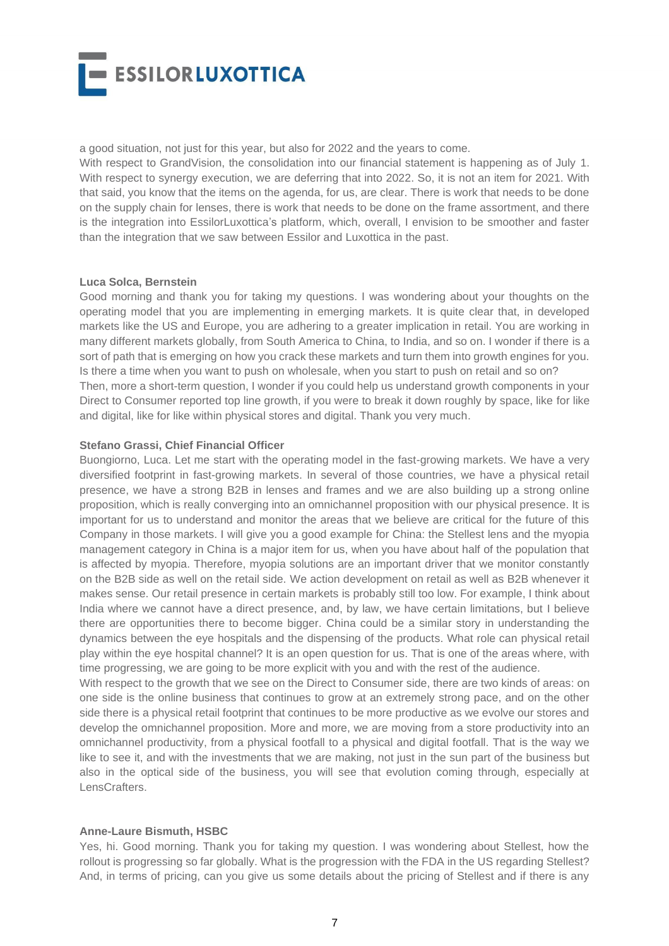

a good situation, not just for this year, but also for 2022 and the years to come.

and digital, like for like within physical stores and digital. Thank you very much.

With respect to GrandVision, the consolidation into our financial statement is happening as of July 1. With respect to synergy execution, we are deferring that into 2022. So, it is not an item for 2021. With that said, you know that the items on the agenda, for us, are clear. There is work that needs to be done on the supply chain for lenses, there is work that needs to be done on the frame assortment, and there is the integration into EssilorLuxottica's platform, which, overall, I envision to be smoother and faster than the integration that we saw between Essilor and Luxottica in the past.

#### **Luca Solca, Bernstein**

Good morning and thank you for taking my questions. I was wondering about your thoughts on the operating model that you are implementing in emerging markets. It is quite clear that, in developed markets like the US and Europe, you are adhering to a greater implication in retail. You are working in many different markets globally, from South America to China, to India, and so on. I wonder if there is a sort of path that is emerging on how you crack these markets and turn them into growth engines for you. Is there a time when you want to push on wholesale, when you start to push on retail and so on? Then, more a short-term question, I wonder if you could help us understand growth components in your Direct to Consumer reported top line growth, if you were to break it down roughly by space, like for like

#### **Stefano Grassi, Chief Financial Officer**

Buongiorno, Luca. Let me start with the operating model in the fast-growing markets. We have a very diversified footprint in fast-growing markets. In several of those countries, we have a physical retail presence, we have a strong B2B in lenses and frames and we are also building up a strong online proposition, which is really converging into an omnichannel proposition with our physical presence. It is important for us to understand and monitor the areas that we believe are critical for the future of this Company in those markets. I will give you a good example for China: the Stellest lens and the myopia management category in China is a major item for us, when you have about half of the population that is affected by myopia. Therefore, myopia solutions are an important driver that we monitor constantly on the B2B side as well on the retail side. We action development on retail as well as B2B whenever it makes sense. Our retail presence in certain markets is probably still too low. For example, I think about India where we cannot have a direct presence, and, by law, we have certain limitations, but I believe there are opportunities there to become bigger. China could be a similar story in understanding the dynamics between the eye hospitals and the dispensing of the products. What role can physical retail play within the eye hospital channel? It is an open question for us. That is one of the areas where, with time progressing, we are going to be more explicit with you and with the rest of the audience.

With respect to the growth that we see on the Direct to Consumer side, there are two kinds of areas: on one side is the online business that continues to grow at an extremely strong pace, and on the other side there is a physical retail footprint that continues to be more productive as we evolve our stores and develop the omnichannel proposition. More and more, we are moving from a store productivity into an omnichannel productivity, from a physical footfall to a physical and digital footfall. That is the way we like to see it, and with the investments that we are making, not just in the sun part of the business but also in the optical side of the business, you will see that evolution coming through, especially at LensCrafters.

#### **Anne-Laure Bismuth, HSBC**

Yes, hi. Good morning. Thank you for taking my question. I was wondering about Stellest, how the rollout is progressing so far globally. What is the progression with the FDA in the US regarding Stellest? And, in terms of pricing, can you give us some details about the pricing of Stellest and if there is any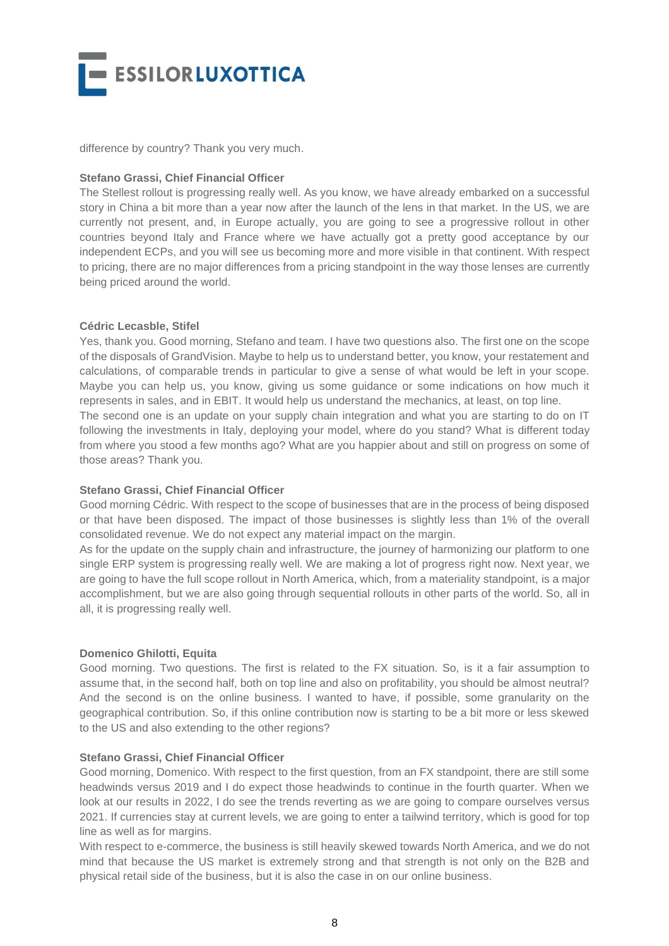

difference by country? Thank you very much.

#### **Stefano Grassi, Chief Financial Officer**

The Stellest rollout is progressing really well. As you know, we have already embarked on a successful story in China a bit more than a year now after the launch of the lens in that market. In the US, we are currently not present, and, in Europe actually, you are going to see a progressive rollout in other countries beyond Italy and France where we have actually got a pretty good acceptance by our independent ECPs, and you will see us becoming more and more visible in that continent. With respect to pricing, there are no major differences from a pricing standpoint in the way those lenses are currently being priced around the world.

#### **Cédric Lecasble, Stifel**

Yes, thank you. Good morning, Stefano and team. I have two questions also. The first one on the scope of the disposals of GrandVision. Maybe to help us to understand better, you know, your restatement and calculations, of comparable trends in particular to give a sense of what would be left in your scope. Maybe you can help us, you know, giving us some guidance or some indications on how much it represents in sales, and in EBIT. It would help us understand the mechanics, at least, on top line. The second one is an update on your supply chain integration and what you are starting to do on IT following the investments in Italy, deploying your model, where do you stand? What is different today from where you stood a few months ago? What are you happier about and still on progress on some of those areas? Thank you.

## **Stefano Grassi, Chief Financial Officer**

Good morning Cédric. With respect to the scope of businesses that are in the process of being disposed or that have been disposed. The impact of those businesses is slightly less than 1% of the overall consolidated revenue. We do not expect any material impact on the margin.

As for the update on the supply chain and infrastructure, the journey of harmonizing our platform to one single ERP system is progressing really well. We are making a lot of progress right now. Next year, we are going to have the full scope rollout in North America, which, from a materiality standpoint, is a major accomplishment, but we are also going through sequential rollouts in other parts of the world. So, all in all, it is progressing really well.

## **Domenico Ghilotti, Equita**

Good morning. Two questions. The first is related to the FX situation. So, is it a fair assumption to assume that, in the second half, both on top line and also on profitability, you should be almost neutral? And the second is on the online business. I wanted to have, if possible, some granularity on the geographical contribution. So, if this online contribution now is starting to be a bit more or less skewed to the US and also extending to the other regions?

#### **Stefano Grassi, Chief Financial Officer**

Good morning, Domenico. With respect to the first question, from an FX standpoint, there are still some headwinds versus 2019 and I do expect those headwinds to continue in the fourth quarter. When we look at our results in 2022, I do see the trends reverting as we are going to compare ourselves versus 2021. If currencies stay at current levels, we are going to enter a tailwind territory, which is good for top line as well as for margins.

With respect to e-commerce, the business is still heavily skewed towards North America, and we do not mind that because the US market is extremely strong and that strength is not only on the B2B and physical retail side of the business, but it is also the case in on our online business.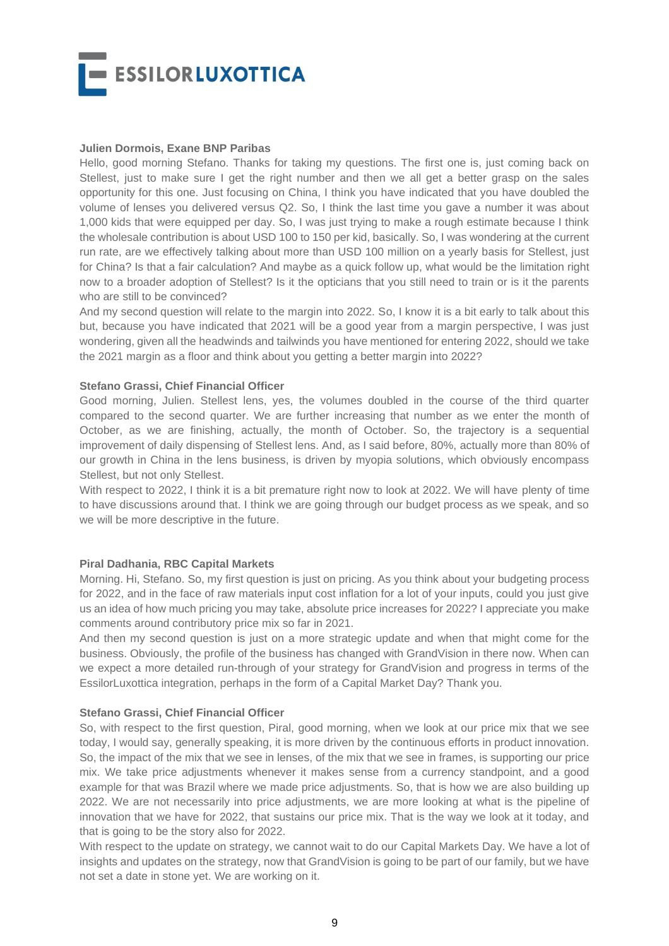

#### **Julien Dormois, Exane BNP Paribas**

Hello, good morning Stefano. Thanks for taking my questions. The first one is, just coming back on Stellest, just to make sure I get the right number and then we all get a better grasp on the sales opportunity for this one. Just focusing on China, I think you have indicated that you have doubled the volume of lenses you delivered versus Q2. So, I think the last time you gave a number it was about 1,000 kids that were equipped per day. So, I was just trying to make a rough estimate because I think the wholesale contribution is about USD 100 to 150 per kid, basically. So, I was wondering at the current run rate, are we effectively talking about more than USD 100 million on a yearly basis for Stellest, just for China? Is that a fair calculation? And maybe as a quick follow up, what would be the limitation right now to a broader adoption of Stellest? Is it the opticians that you still need to train or is it the parents who are still to be convinced?

And my second question will relate to the margin into 2022. So, I know it is a bit early to talk about this but, because you have indicated that 2021 will be a good year from a margin perspective, I was just wondering, given all the headwinds and tailwinds you have mentioned for entering 2022, should we take the 2021 margin as a floor and think about you getting a better margin into 2022?

#### **Stefano Grassi, Chief Financial Officer**

Good morning, Julien. Stellest lens, yes, the volumes doubled in the course of the third quarter compared to the second quarter. We are further increasing that number as we enter the month of October, as we are finishing, actually, the month of October. So, the trajectory is a sequential improvement of daily dispensing of Stellest lens. And, as I said before, 80%, actually more than 80% of our growth in China in the lens business, is driven by myopia solutions, which obviously encompass Stellest, but not only Stellest.

With respect to 2022, I think it is a bit premature right now to look at 2022. We will have plenty of time to have discussions around that. I think we are going through our budget process as we speak, and so we will be more descriptive in the future.

## **Piral Dadhania, RBC Capital Markets**

Morning. Hi, Stefano. So, my first question is just on pricing. As you think about your budgeting process for 2022, and in the face of raw materials input cost inflation for a lot of your inputs, could you just give us an idea of how much pricing you may take, absolute price increases for 2022? I appreciate you make comments around contributory price mix so far in 2021.

And then my second question is just on a more strategic update and when that might come for the business. Obviously, the profile of the business has changed with GrandVision in there now. When can we expect a more detailed run-through of your strategy for GrandVision and progress in terms of the EssilorLuxottica integration, perhaps in the form of a Capital Market Day? Thank you.

#### **Stefano Grassi, Chief Financial Officer**

So, with respect to the first question, Piral, good morning, when we look at our price mix that we see today, I would say, generally speaking, it is more driven by the continuous efforts in product innovation. So, the impact of the mix that we see in lenses, of the mix that we see in frames, is supporting our price mix. We take price adjustments whenever it makes sense from a currency standpoint, and a good example for that was Brazil where we made price adjustments. So, that is how we are also building up 2022. We are not necessarily into price adjustments, we are more looking at what is the pipeline of innovation that we have for 2022, that sustains our price mix. That is the way we look at it today, and that is going to be the story also for 2022.

With respect to the update on strategy, we cannot wait to do our Capital Markets Day. We have a lot of insights and updates on the strategy, now that GrandVision is going to be part of our family, but we have not set a date in stone yet. We are working on it.